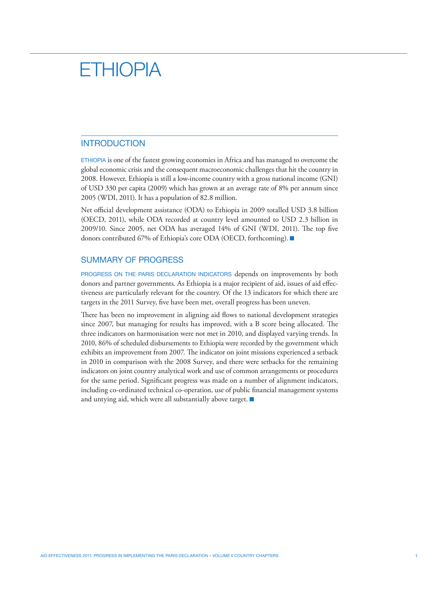# **ETHIOPIA**

# INTRODUCTION

Ethiopia is one of the fastest growing economies in Africa and has managed to overcome the global economic crisis and the consequent macroeconomic challenges that hit the country in 2008. However, Ethiopia is still a low-income country with a gross national income (GNI) of USD 330 per capita (2009) which has grown at an average rate of 8% per annum since 2005 (WDI, 2011). It has a population of 82.8 million.

Net official development assistance (ODA) to Ethiopia in 2009 totalled USD 3.8 billion (OECD, 2011), while ODA recorded at country level amounted to USD 2.3 billion in 2009/10. Since 2005, net ODA has averaged 14% of GNI (WDI, 2011). The top five donors contributed 67% of Ethiopia's core ODA (OECD, forthcoming). ■

# SUMMARY OF PROGRESS

PROGRESS ON THE PARIS DECLARATION INDICATORS depends on improvements by both donors and partner governments. As Ethiopia is a major recipient of aid, issues of aid effectiveness are particularly relevant for the country. Of the 13 indicators for which there are targets in the 2011 Survey, five have been met, overall progress has been uneven.

There has been no improvement in aligning aid flows to national development strategies since 2007, but managing for results has improved, with a B score being allocated. The three indicators on harmonisation were not met in 2010, and displayed varying trends. In 2010, 86% of scheduled disbursements to Ethiopia were recorded by the government which exhibits an improvement from 2007. The indicator on joint missions experienced a setback in 2010 in comparison with the 2008 Survey, and there were setbacks for the remaining indicators on joint country analytical work and use of common arrangements or procedures for the same period. Significant progress was made on a number of alignment indicators, including co-ordinated technical co-operation, use of public financial management systems and untying aid, which were all substantially above target.  $\blacksquare$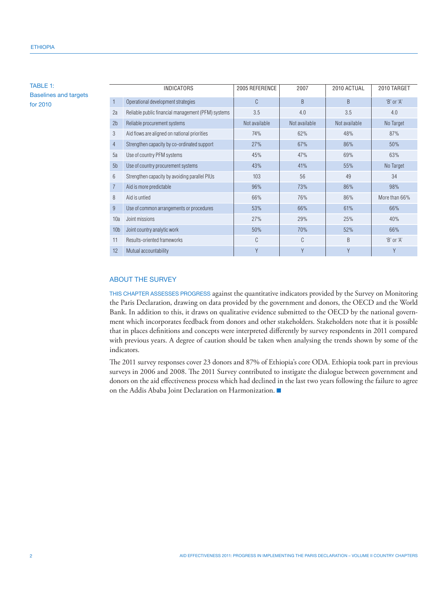TABLE 1: Baselines and targets for 2010

|                 | <b>INDICATORS</b>                                  | 2005 REFERENCE | 2007          | 2010 ACTUAL   | 2010 TARGET   |
|-----------------|----------------------------------------------------|----------------|---------------|---------------|---------------|
| 1               | Operational development strategies                 | C              | B             | B             | 'B' or 'A'    |
| 2a              | Reliable public financial management (PFM) systems | 3.5            | 4.0           | 3.5           | 4.0           |
| 2 <sub>b</sub>  | Reliable procurement systems                       | Not available  | Not available | Not available | No Target     |
| 3               | Aid flows are aligned on national priorities       | 74%            | 62%           | 48%           | 87%           |
| 4               | Strengthen capacity by co-ordinated support        | 27%            | 67%           | 86%           | 50%           |
| 5a              | Use of country PFM systems                         | 45%            | 47%           | 69%           | 63%           |
| 5 <sub>b</sub>  | Use of country procurement systems                 | 43%            | 41%           | 55%           | No Target     |
| 6               | Strengthen capacity by avoiding parallel PIUs      | 103            | 56            | 49            | 34            |
| $\overline{7}$  | Aid is more predictable                            | 96%            | 73%           | 86%           | 98%           |
| 8               | Aid is untied                                      | 66%            | 76%           | 86%           | More than 66% |
| 9               | Use of common arrangements or procedures           | 53%            | 66%           | 61%           | 66%           |
| 10a             | Joint missions                                     | 27%            | 29%           | 25%           | 40%           |
| 10 <sub>b</sub> | Joint country analytic work                        | 50%            | 70%           | 52%           | 66%           |
| 11              | Results-oriented frameworks                        | C              | C             | B             | 'B' or 'A'    |
| 12              | Mutual accountability                              | Y              | Y             | Y             | γ             |

# About the Survey

This chapter assesses progress against the quantitative indicators provided by the Survey on Monitoring the Paris Declaration, drawing on data provided by the government and donors, the OECD and the World Bank. In addition to this, it draws on qualitative evidence submitted to the OECD by the national government which incorporates feedback from donors and other stakeholders. Stakeholders note that it is possible that in places definitions and concepts were interpreted differently by survey respondents in 2011 compared with previous years. A degree of caution should be taken when analysing the trends shown by some of the indicators.

The 2011 survey responses cover 23 donors and 87% of Ethiopia's core ODA. Ethiopia took part in previous surveys in 2006 and 2008. The 2011 Survey contributed to instigate the dialogue between government and donors on the aid effectiveness process which had declined in the last two years following the failure to agree on the Addis Ababa Joint Declaration on Harmonization.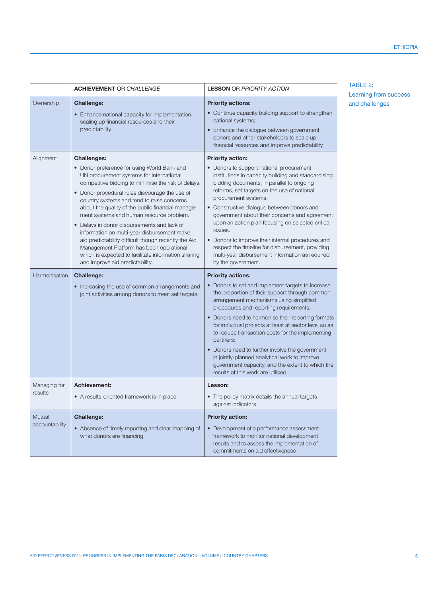|                            | <b>ACHIEVEMENT OR CHALLENGE</b>                                                                                                                                                                                                                                                                                                                                                                                                                                                                                                                                                                                                                                                        | <b>LESSON OR PRIORITY ACTION</b>                                                                                                                                                                                                                                                                                                                                                                                                                                                                                                                                                                                                                                                 | TABLE 2:<br>Learning from success |
|----------------------------|----------------------------------------------------------------------------------------------------------------------------------------------------------------------------------------------------------------------------------------------------------------------------------------------------------------------------------------------------------------------------------------------------------------------------------------------------------------------------------------------------------------------------------------------------------------------------------------------------------------------------------------------------------------------------------------|----------------------------------------------------------------------------------------------------------------------------------------------------------------------------------------------------------------------------------------------------------------------------------------------------------------------------------------------------------------------------------------------------------------------------------------------------------------------------------------------------------------------------------------------------------------------------------------------------------------------------------------------------------------------------------|-----------------------------------|
| Ownership                  | <b>Challenge:</b><br>• Enhance national capacity for implementation,<br>scaling up financial resources and their<br>predictability                                                                                                                                                                                                                                                                                                                                                                                                                                                                                                                                                     | <b>Priority actions:</b><br>• Continue capacity building support to strengthen<br>national systems;<br>• Enhance the dialogue between government,<br>donors and other stakeholders to scale up<br>financial resources and improve predictability                                                                                                                                                                                                                                                                                                                                                                                                                                 | and challenges                    |
| Alignment<br>Harmonisation | <b>Challenges:</b><br>• Donor preference for using World Bank and<br>UN procurement systems for international<br>competitive bidding to minimise the risk of delays.<br>• Donor procedural rules discourage the use of<br>country systems and tend to raise concerns<br>about the quality of the public financial manage-<br>ment systems and human resource problem.<br>• Delays in donor disbursements and lack of<br>information on multi-year disbursement make<br>aid predictability difficult though recently the Aid<br>Management Platform has been operational<br>which is expected to facilitate information sharing<br>and improve aid predictability.<br><b>Challenge:</b> | <b>Priority action:</b><br>• Donors to support national procurement<br>institutions in capacity building and standardising<br>bidding documents; in parallel to ongoing<br>reforms, set targets on the use of national<br>procurement systems.<br>• Constructive dialogue between donors and<br>government about their concerns and agreement<br>upon an action plan focusing on selected critical<br>issues.<br>• Donors to improve their internal procedures and<br>respect the timeline for disbursement, providing<br>multi-year disbursement information as required<br>by the government.<br><b>Priority actions:</b><br>• Donors to set and implement targets to increase |                                   |
|                            | • Increasing the use of common arrangements and<br>joint activities among donors to meet set targets.                                                                                                                                                                                                                                                                                                                                                                                                                                                                                                                                                                                  | the proportion of their support through common<br>arrangement mechanisms using simplified<br>procedures and reporting requirements;<br>• Donors need to harmonise their reporting formats<br>for individual projects at least at sector level so as<br>to reduce transaction costs for the implementing<br>partners;<br>• Donors need to further involve the government<br>in jointly-planned analytical work to improve<br>government capacity, and the extent to which the<br>results of this work are utilised.                                                                                                                                                               |                                   |
| Managing for<br>results    | Achievement:<br>• A results-oriented framework is in place                                                                                                                                                                                                                                                                                                                                                                                                                                                                                                                                                                                                                             | Lesson:<br>• The policy matrix details the annual targets<br>against indicators                                                                                                                                                                                                                                                                                                                                                                                                                                                                                                                                                                                                  |                                   |
| Mutual<br>accountability   | <b>Challenge:</b><br>• Absence of timely reporting and clear mapping of<br>what donors are financing                                                                                                                                                                                                                                                                                                                                                                                                                                                                                                                                                                                   | <b>Priority action:</b><br>• Development of a performance assessment<br>framework to monitor national development<br>results and to assess the implementation of<br>commitments on aid effectiveness                                                                                                                                                                                                                                                                                                                                                                                                                                                                             |                                   |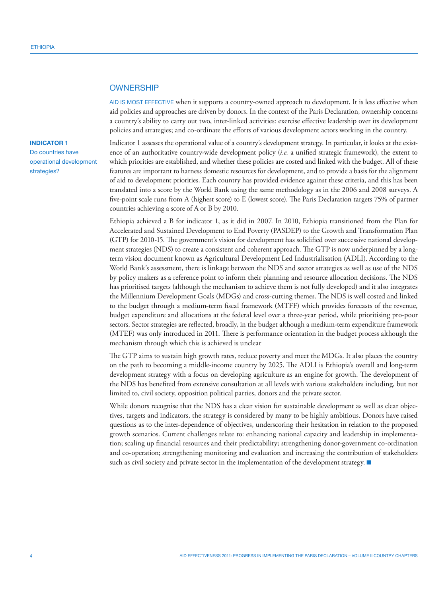## **OWNERSHIP**

AID IS MOST EFFECTIVE when it supports a country-owned approach to development. It is less effective when aid policies and approaches are driven by donors. In the context of the Paris Declaration, ownership concerns a country's ability to carry out two, inter-linked activities: exercise effective leadership over its development policies and strategies; and co-ordinate the efforts of various development actors working in the country.

## **INDICATOR 1**

Do countries have operational development strategies?

Indicator 1 assesses the operational value of a country's development strategy. In particular, it looks at the existence of an authoritative country-wide development policy (*i.e.* a unified strategic framework), the extent to which priorities are established, and whether these policies are costed and linked with the budget. All of these features are important to harness domestic resources for development, and to provide a basis for the alignment of aid to development priorities. Each country has provided evidence against these criteria, and this has been translated into a score by the World Bank using the same methodology as in the 2006 and 2008 surveys. A five-point scale runs from A (highest score) to E (lowest score). The Paris Declaration targets 75% of partner countries achieving a score of A or B by 2010.

Ethiopia achieved a B for indicator 1, as it did in 2007. In 2010, Ethiopia transitioned from the Plan for Accelerated and Sustained Development to End Poverty (PASDEP) to the Growth and Transformation Plan (GTP) for 2010-15. The government's vision for development has solidified over successive national development strategies (NDS) to create a consistent and coherent approach. The GTP is now underpinned by a longterm vision document known as Agricultural Development Led Industrialisation (ADLI). According to the World Bank's assessment, there is linkage between the NDS and sector strategies as well as use of the NDS by policy makers as a reference point to inform their planning and resource allocation decisions. The NDS has prioritised targets (although the mechanism to achieve them is not fully developed) and it also integrates the Millennium Development Goals (MDGs) and cross-cutting themes. The NDS is well costed and linked to the budget through a medium-term fiscal framework (MTFF) which provides forecasts of the revenue, budget expenditure and allocations at the federal level over a three-year period, while prioritising pro-poor sectors. Sector strategies are reflected, broadly, in the budget although a medium-term expenditure framework (MTEF) was only introduced in 2011. There is performance orientation in the budget process although the mechanism through which this is achieved is unclear

The GTP aims to sustain high growth rates, reduce poverty and meet the MDGs. It also places the country on the path to becoming a middle-income country by 2025. The ADLI is Ethiopia's overall and long-term development strategy with a focus on developing agriculture as an engine for growth. The development of the NDS has benefited from extensive consultation at all levels with various stakeholders including, but not limited to, civil society, opposition political parties, donors and the private sector.

While donors recognise that the NDS has a clear vision for sustainable development as well as clear objectives, targets and indicators, the strategy is considered by many to be highly ambitious. Donors have raised questions as to the inter-dependence of objectives, underscoring their hesitation in relation to the proposed growth scenarios. Current challenges relate to: enhancing national capacity and leadership in implementation; scaling up financial resources and their predictability; strengthening donor-government co-ordination and co-operation; strengthening monitoring and evaluation and increasing the contribution of stakeholders such as civil society and private sector in the implementation of the development strategy.  $\blacksquare$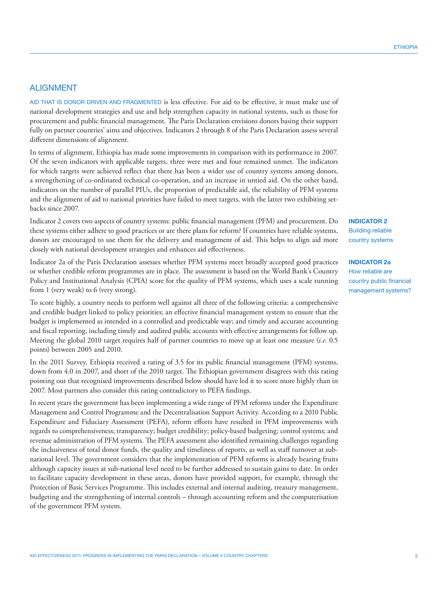# ALIGNMENT

Aid that is donor driven and fragmented is less effective. For aid to be effective, it must make use of national development strategies and use and help strengthen capacity in national systems, such as those for procurement and public financial management. The Paris Declaration envisions donors basing their support fully on partner countries' aims and objectives. Indicators 2 through 8 of the Paris Declaration assess several different dimensions of alignment.

In terms of alignment, Ethiopia has made some improvements in comparison with its performance in 2007. Of the seven indicators with applicable targets, three were met and four remained unmet. The indicators for which targets were achieved reflect that there has been a wider use of country systems among donors, a strengthening of co-ordinated technical co-operation, and an increase in untied aid. On the other hand, indicators on the number of parallel PIUs, the proportion of predictable aid, the reliability of PFM systems and the alignment of aid to national priorities have failed to meet targets, with the latter two exhibiting setbacks since 2007.

Indicator 2 covers two aspects of country systems: public financial management (PFM) and procurement. Do these systems either adhere to good practices or are there plans for reform? If countries have reliable systems, donors are encouraged to use them for the delivery and management of aid. This helps to align aid more closely with national development strategies and enhances aid effectiveness.

Indicator 2a of the Paris Declaration assesses whether PFM systems meet broadly accepted good practices or whether credible reform programmes are in place. The assessment is based on the World Bank's Country Policy and Institutional Analysis (CPIA) score for the quality of PFM systems, which uses a scale running from 1 (very weak) to 6 (very strong).

To score highly, a country needs to perform well against all three of the following criteria: a comprehensive and credible budget linked to policy priorities; an effective financial management system to ensure that the budget is implemented as intended in a controlled and predictable way; and timely and accurate accounting and fiscal reporting, including timely and audited public accounts with effective arrangements for follow up. Meeting the global 2010 target requires half of partner countries to move up at least one measure (*i.e.* 0.5 points) between 2005 and 2010.

In the 2011 Survey, Ethiopia received a rating of 3.5 for its public financial management (PFM) systems, down from 4.0 in 2007, and short of the 2010 target. The Ethiopian government disagrees with this rating pointing out that recognised improvements described below should have led it to score more highly than in 2007. Most partners also consider this rating contradictory to PEFA findings.

In recent years the government has been implementing a wide range of PFM reforms under the Expenditure Management and Control Programme and the Decentralisation Support Activity. According to a 2010 Public Expenditure and Fiduciary Assessment (PEFA), reform efforts have resulted in PFM improvements with regards to comprehensiveness; transparency; budget credibility; policy-based budgeting; control systems; and revenue administration of PFM systems. The PEFA assessment also identified remaining challenges regarding the inclusiveness of total donor funds, the quality and timeliness of reports, as well as staff turnover at subnational level. The government considers that the implementation of PFM reforms is already bearing fruits although capacity issues at sub-national level need to be further addressed to sustain gains to date. In order to facilitate capacity development in these areas, donors have provided support, for example, through the Protection of Basic Services Programme. This includes external and internal auditing, treasury management, budgeting and the strengthening of internal controls – through accounting reform and the computerisation of the government PFM system.

## **INDICATOR 2**

Building reliable country systems

## **INDICATOR 2a**

How reliable are country public financial management systems?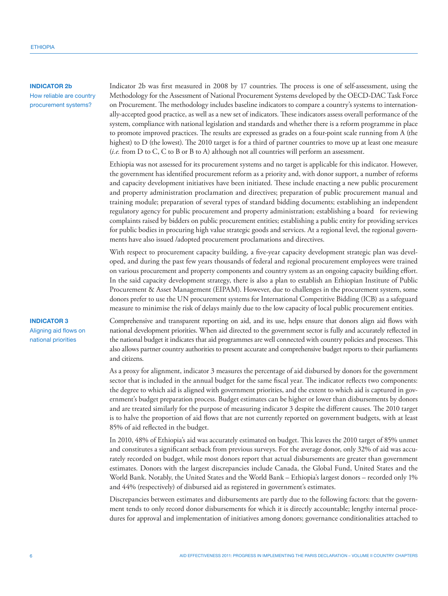# **INDICATOR 2b**

How reliable are country procurement systems?

Indicator 2b was first measured in 2008 by 17 countries. The process is one of self-assessment, using the Methodology for the Assessment of National Procurement Systems developed by the OECD-DAC Task Force on Procurement. The methodology includes baseline indicators to compare a country's systems to internationally-accepted good practice, as well as a new set of indicators. These indicators assess overall performance of the system, compliance with national legislation and standards and whether there is a reform programme in place to promote improved practices. The results are expressed as grades on a four-point scale running from A (the highest) to D (the lowest). The 2010 target is for a third of partner countries to move up at least one measure (*i.e.* from D to C, C to B or B to A) although not all countries will perform an assessment.

Ethiopia was not assessed for its procurement systems and no target is applicable for this indicator. However, the government has identified procurement reform as a priority and, with donor support, a number of reforms and capacity development initiatives have been initiated. These include enacting a new public procurement and property administration proclamation and directives; preparation of public procurement manual and training module; preparation of several types of standard bidding documents; establishing an independent regulatory agency for public procurement and property administration; establishing a board for reviewing complaints raised by bidders on public procurement entities; establishing a public entity for providing services for public bodies in procuring high value strategic goods and services. At a regional level, the regional governments have also issued /adopted procurement proclamations and directives.

With respect to procurement capacity building, a five-year capacity development strategic plan was developed, and during the past few years thousands of federal and regional procurement employees were trained on various procurement and property components and country system as an ongoing capacity building effort. In the said capacity development strategy, there is also a plan to establish an Ethiopian Institute of Public Procurement & Asset Management (EIPAM). However, due to challenges in the procurement system, some donors prefer to use the UN procurement systems for International Competitive Bidding (ICB) as a safeguard measure to minimise the risk of delays mainly due to the low capacity of local public procurement entities.

Comprehensive and transparent reporting on aid, and its use, helps ensure that donors align aid flows with national development priorities. When aid directed to the government sector is fully and accurately reflected in the national budget it indicates that aid programmes are well connected with country policies and processes. This also allows partner country authorities to present accurate and comprehensive budget reports to their parliaments and citizens.

As a proxy for alignment, indicator 3 measures the percentage of aid disbursed by donors for the government sector that is included in the annual budget for the same fiscal year. The indicator reflects two components: the degree to which aid is aligned with government priorities, and the extent to which aid is captured in government's budget preparation process. Budget estimates can be higher or lower than disbursements by donors and are treated similarly for the purpose of measuring indicator 3 despite the different causes. The 2010 target is to halve the proportion of aid flows that are not currently reported on government budgets, with at least 85% of aid reflected in the budget.

In 2010, 48% of Ethiopia's aid was accurately estimated on budget. This leaves the 2010 target of 85% unmet and constitutes a significant setback from previous surveys. For the average donor, only 32% of aid was accurately recorded on budget, while most donors report that actual disbursements are greater than government estimates. Donors with the largest discrepancies include Canada, the Global Fund, United States and the World Bank. Notably, the United States and the World Bank – Ethiopia's largest donors – recorded only 1% and 44% (respectively) of disbursed aid as registered in government's estimates.

Discrepancies between estimates and disbursements are partly due to the following factors: that the government tends to only record donor disbursements for which it is directly accountable; lengthy internal procedures for approval and implementation of initiatives among donors; governance conditionalities attached to

#### **INDICATOR 3**

Aligning aid flows on national priorities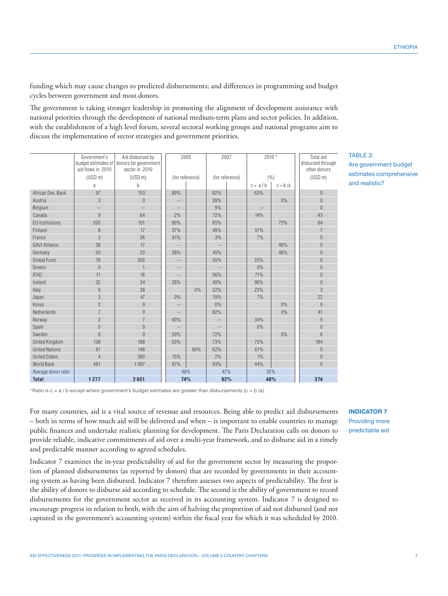**ETHIOPIA** 

funding which may cause changes to predicted disbursements; and differences in programming and budget cycles between government and most donors.

The government is taking stronger leadership in promoting the alignment of development assistance with national priorities through the development of national medium-term plans and sector policies. In addition, with the establishment of a high level forum, several sectoral working groups and national programs aim to discuss the implementation of sector strategies and government priorities.

|                        | Government's<br>aid flows in 2010 | Aid disbursed by<br>budget estimates of donors for government<br>sector in 2010 | 2005  |                 | 2007                       |                 | $2010*$   |           | Total aid<br>disbursed through<br>other donors |
|------------------------|-----------------------------------|---------------------------------------------------------------------------------|-------|-----------------|----------------------------|-----------------|-----------|-----------|------------------------------------------------|
|                        | (USD <sub>m</sub> )               | (USD <sub>m</sub> )                                                             |       | (for reference) |                            | (for reference) |           | (% )      | (USD <sub>m</sub> )                            |
|                        | a                                 | $\mathsf{h}$                                                                    |       |                 |                            |                 | $c = a/b$ | $c = b/a$ |                                                |
| African Dev. Bank      | 97                                | 153                                                                             | 89%   |                 | 62%                        |                 | 63%       |           | $\Omega$                                       |
| Austria                | 3                                 | $\Omega$                                                                        | --    |                 | 26%                        |                 |           | 0%        | $\overline{0}$                                 |
| Belgium                | $\qquad \qquad -$                 | --                                                                              | $-$   |                 | 9%                         |                 | $-$       |           | $\Omega$                                       |
| Canada                 | 9                                 | 64                                                                              | 2%    |                 | 72%                        |                 | 14%       |           | 43                                             |
| <b>EU</b> Institutions | 205                               | 151                                                                             | 99%   |                 | 85%                        |                 |           | 73%       | 64                                             |
| Finland                | 8                                 | 17                                                                              | 37%   |                 | 49%                        |                 | 51%       |           | $\overline{7}$                                 |
| France                 | 3                                 | 36                                                                              | 81%   |                 | 3%                         |                 | 7%        |           | $\overline{0}$                                 |
| <b>GAVI Alliance</b>   | 38                                | 17                                                                              | $-$   |                 | $-$                        |                 |           | 46%       | $\overline{0}$                                 |
| Germany                | 50                                | 23                                                                              | 38%   |                 | 45%                        |                 |           | 46%       | $\Omega$                                       |
| Global Fund            | 76                                | 305                                                                             |       |                 | 55%                        |                 | 25%       |           | $\overline{0}$                                 |
| Greece                 | $\theta$                          | $\mathbf{1}$                                                                    | $- -$ |                 | $\overline{\phantom{a}}$ . |                 | 0%        |           | $\Omega$                                       |
| <b>IFAD</b>            | 11                                | 16                                                                              | $-$   |                 | 56%                        |                 | 71%       |           | $\overline{0}$                                 |
| Ireland                | 32                                | 34                                                                              | 28%   |                 | 49%                        |                 | 96%       |           | $\overline{0}$                                 |
| Italy                  | $\overline{9}$                    | 38                                                                              |       | $0\%$           | 22%                        |                 | 23%       |           | 3                                              |
| Japan                  | 3                                 | 47                                                                              | 0%    |                 | 19%                        |                 | 7%        |           | 22                                             |
| Korea                  | $\overline{2}$                    | $\Omega$                                                                        | $-$   |                 | 0%                         |                 |           | 0%        | $\Omega$                                       |
| Netherlands            | $\overline{7}$                    | $\overline{0}$                                                                  |       |                 | 82%                        |                 |           | 0%        | 41                                             |
| Norway                 | $\overline{2}$                    | $\overline{7}$                                                                  | 40%   |                 | $-$                        |                 | 34%       |           | 5                                              |
| Spain                  | $\overline{0}$                    | 9                                                                               |       |                 | $- -$                      |                 | 0%        |           | $\overline{0}$                                 |
| Sweden                 | 8                                 | $\Omega$                                                                        | 59%   |                 | 72%                        |                 |           | 0%        | $6\overline{6}$                                |
| <b>United Kingdom</b>  | 138                               | 188                                                                             | 50%   |                 | 73%                        |                 | 73%       |           | 184                                            |
| <b>United Nations</b>  | 91                                | 148                                                                             |       | 90%             | 62%                        |                 | 61%       |           | $\theta$                                       |
| <b>United States</b>   | $\overline{4}$                    | 380                                                                             | 15%   |                 | 2%                         |                 | 1%        |           | $\overline{0}$                                 |
| <b>World Bank</b>      | 481                               | 1097                                                                            | 87%   |                 | 93%                        |                 | 44%       |           | $\Omega$                                       |
| Average donor ratio    |                                   |                                                                                 |       | 48%             |                            | 47%             | 32%       |           |                                                |
| <b>Total</b>           | 1277                              | 2651                                                                            | 74%   |                 | 62%                        |                 | 48%       |           | 374                                            |

TABLE 3:

Are government budget estimates comprehensive and realistic?

\*Ratio is  $c = a / b$  except where government's budget estimates are greater than disbursements ( $c = b / a$ ).

For many countries, aid is a vital source of revenue and resources. Being able to predict aid disbursements – both in terms of how much aid will be delivered and when – is important to enable countries to manage public finances and undertake realistic planning for development. The Paris Declaration calls on donors to provide reliable, indicative commitments of aid over a multi-year framework, and to disburse aid in a timely and predictable manner according to agreed schedules.

Indicator 7 examines the in-year predictability of aid for the government sector by measuring the proportion of planned disbursements (as reported by donors) that are recorded by governments in their accounting system as having been disbursed. Indicator 7 therefore assesses two aspects of predictability. The first is the ability of donors to disburse aid according to schedule. The second is the ability of government to record disbursements for the government sector as received in its accounting system. Indicator 7 is designed to encourage progress in relation to both, with the aim of halving the proportion of aid not disbursed (and not captured in the government's accounting system) within the fiscal year for which it was scheduled by 2010.

**INDICATOR 7** Providing more predictable aid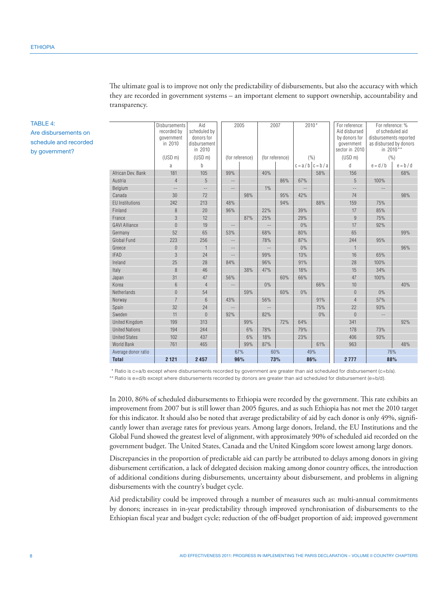The ultimate goal is to improve not only the predictability of disbursements, but also the accuracy with which they are recorded in government systems – an important element to support ownership, accountability and transparency.

|                        | <b>Disbursements</b><br>recorded by<br>government<br>in 2010 | Aid<br>scheduled by<br>donors for<br>disbursement<br>in 2010 |                   | 2005            |       | 2007            | $2010*$                  |                     | For reference:<br>Aid disbursed<br>by donors for<br>government<br>sector in 2010 | For reference: %<br>of scheduled aid<br>disbursements reported<br>as disbursed by donors<br>in 2010** |           |
|------------------------|--------------------------------------------------------------|--------------------------------------------------------------|-------------------|-----------------|-------|-----------------|--------------------------|---------------------|----------------------------------------------------------------------------------|-------------------------------------------------------------------------------------------------------|-----------|
|                        | (USD <sub>m</sub> )                                          | (USD <sub>m</sub> )                                          |                   | (for reference) |       | (for reference) |                          | (% )                | (USD <sub>m</sub> )                                                              |                                                                                                       | (%)       |
|                        | a                                                            | b                                                            |                   |                 |       |                 |                          | $c = a/b$ $c = b/a$ | d                                                                                | $e = d/b$                                                                                             | $e = b/d$ |
| African Dev. Bank      | 181                                                          | 105                                                          | 99%               |                 | 40%   |                 |                          | 58%                 | 156                                                                              |                                                                                                       | 68%       |
| Austria                | $\overline{4}$                                               | 5                                                            | $-$               |                 |       | 86%             | 67%                      |                     | 5                                                                                | 100%                                                                                                  |           |
| Belgium                | $-$                                                          | $\overline{\phantom{a}}$                                     | $\qquad \qquad -$ |                 | $1\%$ |                 | $\overline{\phantom{a}}$ |                     | $\frac{1}{2}$                                                                    |                                                                                                       |           |
| Canada                 | 30                                                           | 72                                                           |                   | 98%             |       | 95%             | 42%                      |                     | 74                                                                               |                                                                                                       | 98%       |
| <b>EU</b> Institutions | 242                                                          | 213                                                          | 48%               |                 |       | 94%             |                          | 88%                 | 159                                                                              | 75%                                                                                                   |           |
| Finland                | 8                                                            | 20                                                           | 96%               |                 | 22%   |                 | 39%                      |                     | 17                                                                               | 85%                                                                                                   |           |
| France                 | 3                                                            | 12                                                           |                   | 87%             | 25%   |                 | 29%                      |                     | $\overline{9}$                                                                   | 75%                                                                                                   |           |
| <b>GAVI Alliance</b>   | $\Omega$                                                     | 19                                                           | $-\,-$            |                 | $-$   |                 | 0%                       |                     | 17                                                                               | 92%                                                                                                   |           |
| Germany                | 52                                                           | 65                                                           | 53%               |                 | 68%   |                 | 80%                      |                     | 65                                                                               |                                                                                                       | 99%       |
| Global Fund            | 223                                                          | 256                                                          | $-$               |                 | 78%   |                 | 87%                      |                     | 244                                                                              | 95%                                                                                                   |           |
| Greece                 | $\overline{0}$                                               | $\mathbf{1}$                                                 | $\qquad \qquad -$ |                 |       |                 | 0%                       |                     | $\mathbf{1}$                                                                     |                                                                                                       | 96%       |
| <b>IFAD</b>            | 3                                                            | 24                                                           | $-$               |                 | 99%   |                 | 13%                      |                     | 16                                                                               | 65%                                                                                                   |           |
| Ireland                | 25                                                           | 28                                                           | 84%               |                 | 96%   |                 | 91%                      |                     | 28                                                                               | 100%                                                                                                  |           |
| Italy                  | 8                                                            | 46                                                           |                   | 38%             | 47%   |                 | 18%                      |                     | 15                                                                               | 34%                                                                                                   |           |
| Japan                  | 31                                                           | 47                                                           | 56%               |                 |       | 60%             | 66%                      |                     | 47                                                                               | 100%                                                                                                  |           |
| Korea                  | 6                                                            | $\overline{4}$                                               | $-$               |                 | 0%    |                 |                          | 66%                 | 10                                                                               |                                                                                                       | 40%       |
| Netherlands            | $\Omega$                                                     | 54                                                           |                   | 59%             |       | 60%             | 0%                       |                     | $\Omega$                                                                         | $0\%$                                                                                                 |           |
| Norway                 | $\overline{7}$                                               | 6                                                            | 43%               |                 | 56%   |                 |                          | 91%                 | $\overline{4}$                                                                   | 57%                                                                                                   |           |
| Spain                  | 32                                                           | 24                                                           | $-$               |                 | $-$   |                 |                          | 75%                 | 22                                                                               | 93%                                                                                                   |           |
| Sweden                 | 11                                                           | $\Omega$                                                     | 92%               |                 | 82%   |                 |                          | 0%                  | $\overline{0}$                                                                   | $-\,-$                                                                                                |           |
| <b>United Kingdom</b>  | 199                                                          | 313                                                          |                   | 99%             |       | 72%             | 64%                      |                     | 341                                                                              |                                                                                                       | 92%       |
| <b>United Nations</b>  | 194                                                          | 244                                                          |                   | 6%              | 78%   |                 | 79%                      |                     | 178                                                                              | 73%                                                                                                   |           |
| <b>United States</b>   | 102                                                          | 437                                                          |                   | 6%              | 18%   |                 | 23%                      |                     | 406                                                                              | 93%                                                                                                   |           |
| World Bank             | 761                                                          | 465                                                          |                   | 99%             | 87%   |                 |                          | 61%                 | 963                                                                              |                                                                                                       | 48%       |
| Average donor ratio    |                                                              |                                                              |                   | 67%             |       | 60%             | 49%                      |                     |                                                                                  |                                                                                                       | 76%       |
| <b>Total</b>           | 2 1 2 1                                                      | 2457                                                         |                   | 96%             |       | 73%             |                          | 86%                 | 2777                                                                             |                                                                                                       | 88%       |

\* Ratio is c=a/b except where disbursements recorded by government are greater than aid scheduled for disbursement (c=b/a).

\*\* Ratio is e=d/b except where disbursements recorded by donors are greater than aid scheduled for disbursement (e=b/d).

In 2010, 86% of scheduled disbursements to Ethiopia were recorded by the government. This rate exhibits an improvement from 2007 but is still lower than 2005 figures, and as such Ethiopia has not met the 2010 target for this indicator. It should also be noted that average predictability of aid by each donor is only 49%, significantly lower than average rates for previous years. Among large donors, Ireland, the EU Institutions and the Global Fund showed the greatest level of alignment, with approximately 90% of scheduled aid recorded on the government budget. The United States, Canada and the United Kingdom score lowest among large donors.

Discrepancies in the proportion of predictable aid can partly be attributed to delays among donors in giving disbursement certification, a lack of delegated decision making among donor country offices, the introduction of additional conditions during disbursements, uncertainty about disbursement, and problems in aligning disbursements with the country's budget cycle.

Aid predictability could be improved through a number of measures such as: multi-annual commitments by donors; increases in in-year predictability through improved synchronisation of disbursements to the Ethiopian fiscal year and budget cycle; reduction of the off-budget proportion of aid; improved government

TABLE 4: Are disbursements on schedule and recorded by government?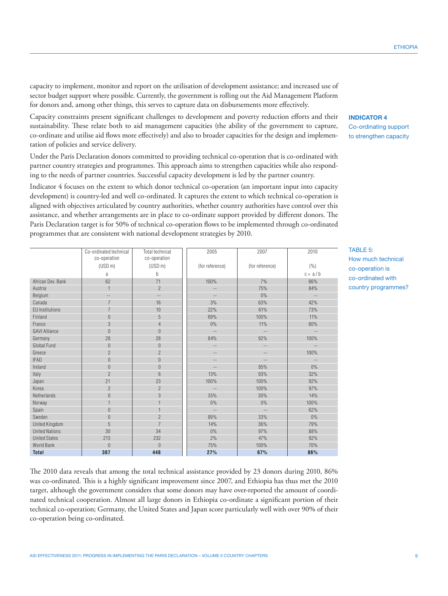capacity to implement, monitor and report on the utilisation of development assistance; and increased use of sector budget support where possible. Currently, the government is rolling out the Aid Management Platform for donors and, among other things, this serves to capture data on disbursements more effectively.

Capacity constraints present significant challenges to development and poverty reduction efforts and their sustainability. These relate both to aid management capacities (the ability of the government to capture, co-ordinate and utilise aid flows more effectively) and also to broader capacities for the design and implementation of policies and service delivery.

Under the Paris Declaration donors committed to providing technical co-operation that is co-ordinated with partner country strategies and programmes. This approach aims to strengthen capacities while also responding to the needs of partner countries. Successful capacity development is led by the partner country.

Indicator 4 focuses on the extent to which donor technical co-operation (an important input into capacity development) is country-led and well co-ordinated. It captures the extent to which technical co-operation is aligned with objectives articulated by country authorities, whether country authorities have control over this assistance, and whether arrangements are in place to co-ordinate support provided by different donors. The Paris Declaration target is for 50% of technical co-operation flows to be implemented through co-ordinated programmes that are consistent with national development strategies by 2010.

|                        | Co-ordinated technical<br>co-operation | Total technical<br>co-operation | 2005            | 2007            | 2010                     |
|------------------------|----------------------------------------|---------------------------------|-----------------|-----------------|--------------------------|
|                        | (USD <sub>m</sub> )                    | (USD <sub>m</sub> )             | (for reference) | (for reference) | (% )                     |
|                        | a                                      | b                               |                 |                 | $c = a/b$                |
| African Dev. Bank      | 62                                     | 71                              | 100%            | 7%              | 86%                      |
| Austria                |                                        | $\overline{2}$                  | 4               | 75%             | 84%                      |
| Belgium                | --                                     | $-\,-$                          | $-$             | 0%              | $\overline{\phantom{m}}$ |
| Canada                 | $\overline{7}$                         | 16                              | 3%              | 63%             | 42%                      |
| <b>EU</b> Institutions | 7                                      | 10                              | 22%             | 61%             | 73%                      |
| Finland                | $\bf{0}$                               | 5                               | 69%             | 100%            | 11%                      |
| France                 | 3                                      | $\overline{4}$                  | 0%              | 11%             | 80%                      |
| <b>GAVI Alliance</b>   | $\overline{0}$                         | $\overline{0}$                  | $-$             | $-$             | $-$                      |
| Germany                | 28                                     | 28                              | 84%             | 92%             | 100%                     |
| Global Fund            | $\theta$                               | $\theta$                        | $-$             | $-$             | $-$                      |
| Greece                 | $\overline{2}$                         | $\overline{2}$                  | $-$             | $-$             | 100%                     |
| <b>IFAD</b>            | $\overline{0}$                         | $\theta$                        | $-$             | --              | $-\,-$                   |
| Ireland                | $\overline{0}$                         | $\Omega$                        | $-$             | 95%             | $0\%$                    |
| Italy                  | $\overline{2}$                         | 6                               | 13%             | 93%             | 32%                      |
| Japan                  | 21                                     | 23                              | 100%            | 100%            | 92%                      |
| Korea                  | $\overline{2}$                         | $\overline{2}$                  | $-$             | 100%            | 97%                      |
| Netherlands            | $\overline{0}$                         | 3                               | 35%             | 30%             | 14%                      |
| Norway                 |                                        |                                 | 0%              | $0\%$           | 100%                     |
| Spain                  | $\bf 0$                                |                                 | $-$             | $-$             | 62%                      |
| Sweden                 | $\overline{0}$                         | $\overline{2}$                  | 89%             | 33%             | $0\%$                    |
| United Kingdom         | 5                                      | $\overline{7}$                  | 14%             | 36%             | 79%                      |
| <b>United Nations</b>  | 30                                     | 34                              | 0%              | 97%             | 88%                      |
| <b>United States</b>   | 213                                    | 232                             | 2%              | 47%             | 92%                      |
| World Bank             | $\overline{0}$                         | $\Omega$                        | 75%             | 100%            | 70%                      |
| <b>Total</b>           | 387                                    | 448                             | 27%             | 67%             | 86%                      |

The 2010 data reveals that among the total technical assistance provided by 23 donors during 2010, 86% was co-ordinated. This is a highly significant improvement since 2007, and Ethiopia has thus met the 2010 target, although the government considers that some donors may have over-reported the amount of coordinated technical cooperation. Almost all large donors in Ethiopia co-ordinate a significant portion of their technical co-operation; Germany, the United States and Japan score particularly well with over 90% of their co-operation being co-ordinated.

# **INDICATOR 4** Co-ordinating support

to strengthen capacity

# TABLE 5: How much technical co-operation is co-ordinated with country programmes?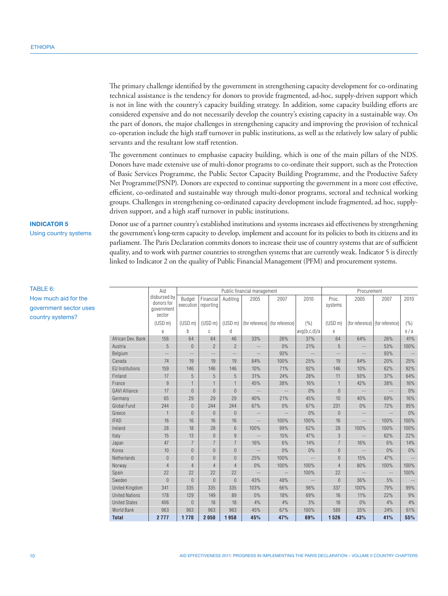The primary challenge identified by the government in strengthening capacity development for co-ordinating technical assistance is the tendency for donors to provide fragmented, ad-hoc, supply-driven support which is not in line with the country's capacity building strategy. In addition, some capacity building efforts are considered expensive and do not necessarily develop the country's existing capacity in a sustainable way. On the part of donors, the major challenges in strengthening capacity and improving the provision of technical co-operation include the high staff turnover in public institutions, as well as the relatively low salary of public servants and the resultant low staff retention.

The government continues to emphasise capacity building, which is one of the main pillars of the NDS. Donors have made extensive use of multi-donor programs to co-ordinate their support, such as the Protection of Basic Services Programme, the Public Sector Capacity Building Programme, and the Productive Safety Net Programme(PSNP). Donors are expected to continue supporting the government in a more cost effective, efficient, co-ordinated and sustainable way through multi-donor programs, sectoral and technical working groups. Challenges in strengthening co-ordinated capacity development include fragmented, ad hoc, supplydriven support, and a high staff turnover in public institutions.

#### **INDICATOR 5**

Using country systems

Donor use of a partner country's established institutions and systems increases aid effectiveness by strengthening the government's long-term capacity to develop, implement and account for its policies to both its citizens and its parliament. The Paris Declaration commits donors to increase their use of country systems that are of sufficient quality, and to work with partner countries to strengthen systems that are currently weak. Indicator 5 is directly linked to Indicator 2 on the quality of Public Financial Management (PFM) and procurement systems.

| Aid             |                        |                                                    | Public financial management |                        |                |                                 |                   |              | Procurement         |                                   |                   |        |
|-----------------|------------------------|----------------------------------------------------|-----------------------------|------------------------|----------------|---------------------------------|-------------------|--------------|---------------------|-----------------------------------|-------------------|--------|
| Э<br><b>ses</b> |                        | disbursed by<br>donors for<br>government<br>sector | Budget<br>execution         | Financial<br>reporting | Auditing       | 2005                            | 2007              | 2010         | Proc.<br>systems    | 2005                              | 2007              | 2010   |
|                 |                        | (USD <sub>m</sub> )                                | (USD <sub>m</sub> )         | (USD <sub>m</sub> )    | (USD m)        | (for reference) (for reference) |                   | (%)          | (USD <sub>m</sub> ) | (for reference)   (for reference) |                   | (%)    |
|                 |                        | a                                                  | b                           | C                      | d              |                                 |                   | avg(b,c,d)/a | e                   |                                   |                   | e/a    |
|                 | African Dev. Bank      | 156                                                | 64                          | 64                     | 46             | 33%                             | 26%               | 37%          | 64                  | 64%                               | 26%               | 41%    |
|                 | Austria                | 5                                                  | $\theta$                    | $\overline{2}$         | $\overline{2}$ | $\qquad \qquad -$               | 0%                | 21%          | 5                   | $-$                               | 53%               | 100%   |
|                 | Belgium                | $\qquad \qquad -$                                  | $\frac{1}{2}$               | --                     | $-$            | $\sim$ $-$                      | 93%               | $-\,-$       | $\qquad \qquad -$   | $\overline{\phantom{m}}$ .        | 93%               | $-\,-$ |
|                 | Canada                 | 74                                                 | 19                          | 19                     | 19             | 84%                             | 100%              | 25%          | 19                  | 84%                               | 20%               | 25%    |
|                 | <b>EU Institutions</b> | 159                                                | 146                         | 146                    | 146            | 10%                             | 71%               | 92%          | 146                 | 10%                               | 62%               | 92%    |
|                 | Finland                | 17                                                 | 5                           | 5                      | 5              | 31%                             | 24%               | 28%          | 11                  | 93%                               | 37%               | 64%    |
|                 | France                 | $\overline{9}$                                     | $\mathbf{1}$                | $\mathbf{1}$           | $\overline{1}$ | 45%                             | 38%               | 16%          | $\mathbf{1}$        | 42%                               | 38%               | 16%    |
|                 | <b>GAVI Alliance</b>   | 17                                                 | $\overline{0}$              | $\theta$               | $\Omega$       | $\overline{\phantom{m}}$        | $-\,-$            | 0%           | $\Omega$            | $\qquad \qquad -$                 | $-\,-$            | $0\%$  |
|                 | Germany                | 65                                                 | 29                          | 29                     | 29             | 40%                             | 21%               | 45%          | 10                  | 40%                               | 69%               | 16%    |
|                 | Global Fund            | 244                                                | $\mathbf{0}$                | 244                    | 244            | 67%                             | 0%                | 67%          | 231                 | 0%                                | 72%               | 95%    |
|                 | Greece                 | $\overline{1}$                                     | $\Omega$                    | $\Omega$               | $\theta$       | $\overline{\phantom{m}}$        | $\qquad \qquad -$ | 0%           | $\Omega$            | $-\, -$                           | $\qquad \qquad -$ | $0\%$  |
|                 | <b>IFAD</b>            | 16                                                 | 16                          | 16                     | 16             | $-\,-$                          | 100%              | 100%         | 16                  | $\qquad \qquad -$                 | 100%              | 100%   |
|                 | Ireland                | 28                                                 | 18                          | 28                     | 6              | 100%                            | 99%               | 62%          | 28                  | 100%                              | 100%              | 100%   |
|                 | Italy                  | 15                                                 | 13                          | $\theta$               | 9              | $\sim$ $-$                      | 15%               | 47%          | 3                   | $\overline{\phantom{m}}$ .        | 62%               | 22%    |
|                 | Japan                  | 47                                                 | $\overline{7}$              | $\overline{7}$         | $\overline{7}$ | 16%                             | 6%                | 14%          | $\overline{7}$      | 16%                               | 6%                | 14%    |
|                 | Korea                  | 10                                                 | $\overline{0}$              | $\overline{0}$         | $\Omega$       | $\overline{\phantom{m}}$        | 0%                | 0%           | $\overline{0}$      | $\overline{\phantom{m}}$ .        | 0%                | $0\%$  |
|                 | Netherlands            | $\overline{0}$                                     | $\overline{0}$              | $\overline{0}$         | $\Omega$       | 25%                             | 100%              |              | $\overline{0}$      | 15%                               | 47%               |        |
|                 | Norway                 | $\overline{4}$                                     | $\overline{4}$              | $\overline{4}$         | $\overline{4}$ | 0%                              | 100%              | 100%         | $\overline{4}$      | 80%                               | 100%              | 100%   |
|                 | Spain                  | 22                                                 | 22                          | 22                     | 22             | $\overline{\phantom{m}}$        | $-\,-$            | 100%         | 22                  | $-\,-$                            | $-\,-$            | 100%   |
|                 | Sweden                 | $\overline{0}$                                     | $\mathbf{0}$                | $\theta$               | $\overline{0}$ | 43%                             | 48%               | $- \, -$     | $\overline{0}$      | 36%                               | 5%                | $-\,-$ |
|                 | <b>United Kingdom</b>  | 341                                                | 335                         | 335                    | 335            | 103%                            | 66%               | 98%          | 337                 | 100%                              | 79%               | 99%    |
|                 | <b>United Nations</b>  | 178                                                | 129                         | 149                    | 89             | 0%                              | 18%               | 69%          | 16                  | 11%                               | 22%               | 9%     |
|                 | <b>United States</b>   | 406                                                | $\mathbf{0}$                | 18                     | 18             | 4%                              | 4%                | 3%           | 18                  | 0%                                | 4%                | 4%     |
|                 | World Bank             | 963                                                | 963                         | 963                    | 963            | 45%                             | 67%               | 100%         | 589                 | 35%                               | 24%               | 61%    |
|                 | <b>Total</b>           | 2777                                               | 1770                        | 2050                   | 1958           | 45%                             | 47%               | 69%          | 1526                | 43%                               | 41%               | 55%    |

TABLE 6: How much aid for the government sector u

country systems?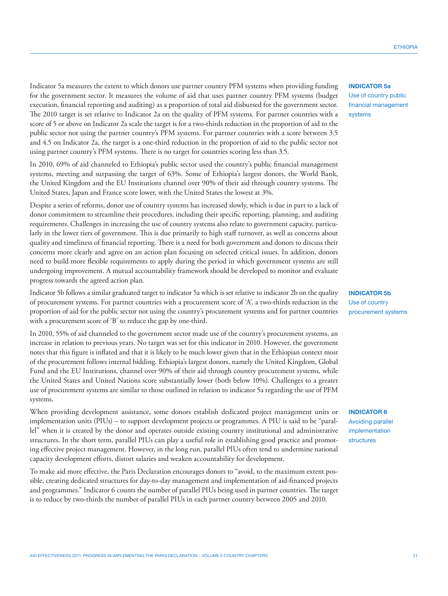Indicator 5a measures the extent to which donors use partner country PFM systems when providing funding for the government sector. It measures the volume of aid that uses partner country PFM systems (budget execution, financial reporting and auditing) as a proportion of total aid disbursed for the government sector. The 2010 target is set relative to Indicator 2a on the quality of PFM systems. For partner countries with a score of 5 or above on Indicator 2a scale the target is for a two-thirds reduction in the proportion of aid to the public sector not using the partner country's PFM systems. For partner countries with a score between 3.5 and 4.5 on Indicator 2a, the target is a one-third reduction in the proportion of aid to the public sector not using partner country's PFM systems. There is no target for countries scoring less than 3.5.

In 2010, 69% of aid channeled to Ethiopia's public sector used the country's public financial management systems, meeting and surpassing the target of 63%. Some of Ethiopia's largest donors, the World Bank, the United Kingdom and the EU Institutions channel over 90% of their aid through country systems. The United States, Japan and France score lower, with the United States the lowest at 3%.

Despite a series of reforms, donor use of country systems has increased slowly, which is due in part to a lack of donor commitment to streamline their procedures, including their specific reporting, planning, and auditing requirements. Challenges in increasing the use of country systems also relate to government capacity, particularly in the lower tiers of government. This is due primarily to high staff turnover, as well as concerns about quality and timeliness of financial reporting. There is a need for both government and donors to discuss their concerns more clearly and agree on an action plan focusing on selected critical issues. In addition, donors need to build more flexible requirements to apply during the period in which government systems are still undergoing improvement. A mutual accountability framework should be developed to monitor and evaluate progress towards the agreed action plan.

Indicator 5b follows a similar graduated target to indicator 5a which is set relative to indicator 2b on the quality of procurement systems. For partner countries with a procurement score of 'A', a two-thirds reduction in the proportion of aid for the public sector not using the country's procurement systems and for partner countries with a procurement score of 'B' to reduce the gap by one-third.

In 2010, 55% of aid channeled to the government sector made use of the country's procurement systems, an increase in relation to previous years. No target was set for this indicator in 2010. However, the government notes that this figure is inflated and that it is likely to be much lower given that in the Ethiopian context most of the procurement follows internal bidding. Ethiopia's largest donors, namely the United Kingdom, Global Fund and the EU Institutions, channel over 90% of their aid through country procurement systems, while the United States and United Nations score substantially lower (both below 10%). Challenges to a greater use of procurement systems are similar to those outlined in relation to indicator 5a regarding the use of PFM systems.

When providing development assistance, some donors establish dedicated project management units or implementation units (PIUs) – to support development projects or programmes. A PIU is said to be "parallel" when it is created by the donor and operates outside existing country institutional and administrative structures. In the short term, parallel PIUs can play a useful role in establishing good practice and promoting effective project management. However, in the long run, parallel PIUs often tend to undermine national capacity development efforts, distort salaries and weaken accountability for development.

To make aid more effective, the Paris Declaration encourages donors to "avoid, to the maximum extent possible, creating dedicated structures for day-to-day management and implementation of aid-financed projects and programmes." Indicator 6 counts the number of parallel PIUs being used in partner countries. The target is to reduce by two-thirds the number of parallel PIUs in each partner country between 2005 and 2010.

## **INDICATOR 5a** Use of country public financial management

systems

**INDICATOR 5b** Use of country procurement systems

**INDICATOR 6** Avoiding parallel implementation structures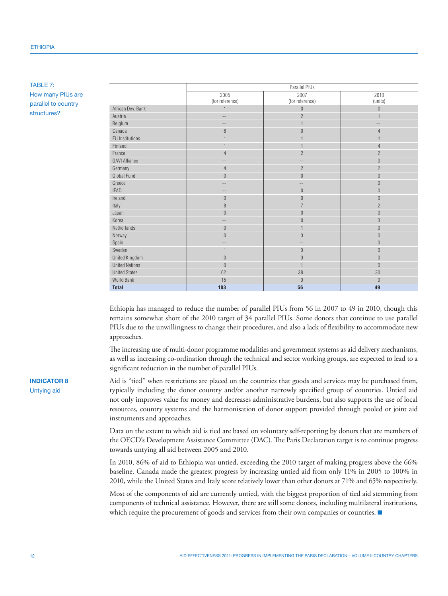## TABLE 7: How many PIUs are parallel to country structures?

|                        |                         | Parallel PIUs           |                  |
|------------------------|-------------------------|-------------------------|------------------|
|                        | 2005<br>(for reference) | 2007<br>(for reference) | 2010<br>(units)  |
| African Dev. Bank      | $\mathbf{1}$            | $\bf 0$                 | $\boldsymbol{0}$ |
| Austria                | --                      | $\overline{2}$          |                  |
| Belgium                | $-\,-$                  | 1                       | $- -$            |
| Canada                 | $6\phantom{.}6$         | $\boldsymbol{0}$        | 4                |
| <b>EU Institutions</b> | $\overline{1}$          |                         |                  |
| Finland                | $\mathbf{1}$            |                         | $\overline{4}$   |
| France                 | $\overline{4}$          | $\overline{2}$          | $\overline{2}$   |
| <b>GAVI Alliance</b>   | $\qquad \qquad -$       | $-$                     | $\overline{0}$   |
| Germany                | $\overline{4}$          | $\overline{2}$          | $\overline{2}$   |
| Global Fund            | $\boldsymbol{0}$        | $\mathbf{0}$            | $\boldsymbol{0}$ |
| Greece                 | $-\,-$                  | $-$                     | $\theta$         |
| <b>IFAD</b>            | $-\,-$                  | $\bf 0$                 | $\boldsymbol{0}$ |
| Ireland                | $\boldsymbol{0}$        | $\boldsymbol{0}$        | $\overline{0}$   |
| Italy                  | $\, 8$                  | $\overline{7}$          | $\overline{2}$   |
| Japan                  | $\boldsymbol{0}$        | $\boldsymbol{0}$        | $\overline{0}$   |
| Korea                  | --                      | 0                       | 3                |
| Netherlands            | $\boldsymbol{0}$        | $\overline{1}$          | $\boldsymbol{0}$ |
| Norway                 | $\boldsymbol{0}$        | $\boldsymbol{0}$        | $\boldsymbol{0}$ |
| Spain                  | --                      |                         | $\overline{0}$   |
| Sweden                 | $\mathbf{1}$            | $\boldsymbol{0}$        | $\overline{0}$   |
| United Kingdom         | $\boldsymbol{0}$        | $\overline{0}$          | $\theta$         |
| <b>United Nations</b>  | $\overline{0}$          |                         | $\overline{0}$   |
| <b>United States</b>   | 62                      | 38                      | 30               |
| World Bank             | 15                      | $\boldsymbol{0}$        | $\theta$         |
| <b>Total</b>           | 103                     | 56                      | 49               |

Ethiopia has managed to reduce the number of parallel PIUs from 56 in 2007 to 49 in 2010, though this remains somewhat short of the 2010 target of 34 parallel PIUs. Some donors that continue to use parallel PIUs due to the unwillingness to change their procedures, and also a lack of flexibility to accommodate new approaches.

The increasing use of multi-donor programme modalities and government systems as aid delivery mechanisms, as well as increasing co-ordination through the technical and sector working groups, are expected to lead to a significant reduction in the number of parallel PIUs.

Aid is "tied" when restrictions are placed on the countries that goods and services may be purchased from, typically including the donor country and/or another narrowly specified group of countries. Untied aid not only improves value for money and decreases administrative burdens, but also supports the use of local resources, country systems and the harmonisation of donor support provided through pooled or joint aid instruments and approaches.

Data on the extent to which aid is tied are based on voluntary self-reporting by donors that are members of the OECD's Development Assistance Committee (DAC). The Paris Declaration target is to continue progress towards untying all aid between 2005 and 2010.

In 2010, 86% of aid to Ethiopia was untied, exceeding the 2010 target of making progress above the 66% baseline. Canada made the greatest progress by increasing untied aid from only 11% in 2005 to 100% in 2010, while the United States and Italy score relatively lower than other donors at 71% and 65% respectively.

Most of the components of aid are currently untied, with the biggest proportion of tied aid stemming from components of technical assistance. However, there are still some donors, including multilateral institutions, which require the procurement of goods and services from their own companies or countries.

# **INDICATOR 8** Untying aid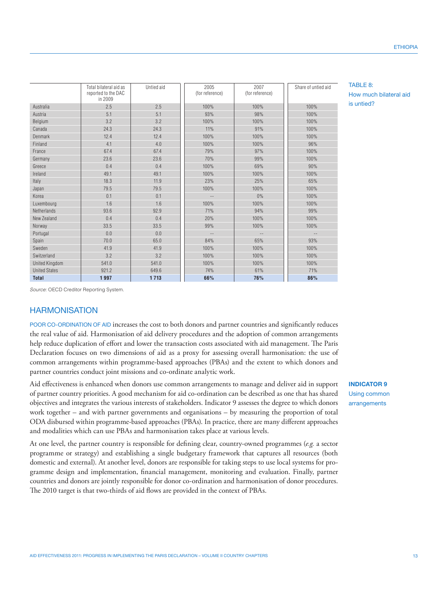|                                        | Total bilateral aid as<br>reported to the DAC<br>in 2009 | Untied aid | 2005<br>(for reference) | 2007<br>(for reference) | Share of untied aid |
|----------------------------------------|----------------------------------------------------------|------------|-------------------------|-------------------------|---------------------|
| Australia                              | 2.5                                                      | 2.5        | 100%                    | 100%                    | 100%                |
| Austria                                | 5.1                                                      | 5.1        | 93%                     | 98%                     | 100%                |
| Belgium                                | 3.2                                                      | 3.2        | 100%                    | 100%                    | 100%                |
| Canada                                 | 24.3                                                     | 24.3       | 11%                     | 91%                     | 100%                |
| <b>Denmark</b>                         | 12.4                                                     | 12.4       | 100%                    | 100%                    | 100%                |
| Finland                                | 4.1                                                      | 4.0        | 100%                    | 100%                    | 96%                 |
| France                                 | 67.4                                                     | 67.4       | 79%                     | 97%                     | 100%                |
| Germany                                | 23.6                                                     | 23.6       | 70%                     | 99%                     | 100%                |
| Greece                                 | 0.4                                                      | 0.4        | 100%                    | 69%                     | 90%                 |
| Ireland                                | 49.1                                                     | 49.1       | 100%                    | 100%                    | 100%                |
| Italy                                  | 18.3                                                     | 11.9       | 23%                     | 25%                     | 65%                 |
| Japan                                  | 79.5                                                     | 79.5       | 100%                    | 100%                    | 100%                |
| Korea                                  | 0.1                                                      | 0.1        |                         | $0\%$                   | 100%                |
| Luxembourg                             | 1.6                                                      | 1.6        | 100%                    | 100%                    | 100%                |
| Netherlands                            | 93.6                                                     | 92.9       | 71%                     | 94%                     | 99%                 |
| New Zealand                            | 0.4                                                      | 0.4        | 20%                     | 100%                    | 100%                |
| Norway                                 | 33.5                                                     | 33.5       | 99%                     | 100%                    | 100%                |
| Portugal                               | 0.0                                                      | 0.0        |                         |                         |                     |
| Spain                                  | 70.0                                                     | 65.0       | 84%                     | 65%                     | 93%                 |
| Sweden                                 | 41.9                                                     | 41.9       | 100%                    | 100%                    | 100%                |
| Switzerland                            | 3.2                                                      | 3.2        | 100%                    | 100%                    | 100%                |
| <b>United Kingdom</b>                  | 541.0                                                    | 541.0      | 100%                    | 100%                    | 100%                |
| <b>United States</b>                   | 921.2                                                    | 649.6      | 74%                     | 61%                     | 71%                 |
| <b>Total</b>                           | 1997                                                     | 1713       | 66%                     | 76%                     | 86%                 |
| Source: OECD Creditor Reporting System |                                                          |            |                         |                         |                     |

TABLE 8: How much bilateral aid is untied?

*Source:* OECD Creditor Reporting System.

# **HARMONISATION**

POOR CO-ORDINATION OF AID increases the cost to both donors and partner countries and significantly reduces the real value of aid. Harmonisation of aid delivery procedures and the adoption of common arrangements help reduce duplication of effort and lower the transaction costs associated with aid management. The Paris Declaration focuses on two dimensions of aid as a proxy for assessing overall harmonisation: the use of common arrangements within programme-based approaches (PBAs) and the extent to which donors and partner countries conduct joint missions and co-ordinate analytic work.

Aid effectiveness is enhanced when donors use common arrangements to manage and deliver aid in support of partner country priorities. A good mechanism for aid co-ordination can be described as one that has shared objectives and integrates the various interests of stakeholders. Indicator 9 assesses the degree to which donors work together – and with partner governments and organisations – by measuring the proportion of total ODA disbursed within programme-based approaches (PBAs). In practice, there are many different approaches and modalities which can use PBAs and harmonisation takes place at various levels.

At one level, the partner country is responsible for defining clear, country-owned programmes (*e.g.* a sector programme or strategy) and establishing a single budgetary framework that captures all resources (both domestic and external). At another level, donors are responsible for taking steps to use local systems for programme design and implementation, financial management, monitoring and evaluation. Finally, partner countries and donors are jointly responsible for donor co-ordination and harmonisation of donor procedures. The 2010 target is that two-thirds of aid flows are provided in the context of PBAs.

**INDICATOR 9** Using common arrangements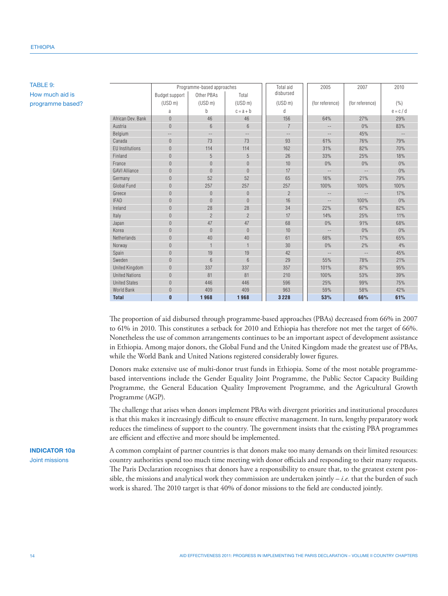# TABLE 9: How much aid is programme based?

|                        |                     | Programme-based approaches |                          | Total aid           | 2005                     | 2007              | 2010        |
|------------------------|---------------------|----------------------------|--------------------------|---------------------|--------------------------|-------------------|-------------|
|                        | Budget support      | Other PBAs                 | Total                    | disbursed           |                          |                   |             |
|                        | (USD <sub>m</sub> ) | (USD <sub>m</sub> )        | (USD <sub>m</sub> )      | (USD <sub>m</sub> ) | (for reference)          | (for reference)   | ( %)        |
|                        | a                   | b                          | $c = a + b$              | d                   |                          |                   | $e = c / d$ |
| African Dev. Bank      | $\theta$            | 46                         | 46                       | 156                 | 64%                      | 27%               | 29%         |
| Austria                | $\overline{0}$      | 6                          | 6                        | $\overline{7}$      |                          | 0%                | 83%         |
| Belgium                | $\cdots$            | $\overline{\phantom{m}}$   | $\overline{\phantom{m}}$ | $-\,-$              | $-\,-$                   | 45%               | $-\,-$      |
| Canada                 | $\overline{0}$      | 73                         | 73                       | 93                  | 61%                      | 76%               | 79%         |
| <b>EU</b> Institutions | $\Omega$            | 114                        | 114                      | 162                 | 31%                      | 82%               | 70%         |
| Finland                | $\overline{0}$      | 5                          | 5                        | 26                  | 33%                      | 25%               | 18%         |
| France                 | $\overline{0}$      | $\theta$                   | $\overline{0}$           | 10                  | $0\%$                    | 0%                | 0%          |
| <b>GAVI Alliance</b>   | $\overline{0}$      | $\theta$                   | $\theta$                 | 17                  | $-\,-$                   | $\qquad \qquad -$ | 0%          |
| Germany                | $\overline{0}$      | 52                         | 52                       | 65                  | 16%                      | 21%               | 79%         |
| <b>Global Fund</b>     | $\overline{0}$      | 257                        | 257                      | 257                 | 100%                     | 100%              | 100%        |
| Greece                 | $\mathbf{0}$        | $\theta$                   | $\theta$                 | $\overline{2}$      | $\qquad \qquad -$        | $-$               | 17%         |
| <b>IFAD</b>            | $\overline{0}$      | $\Omega$                   | $\theta$                 | 16                  | $\overline{\phantom{m}}$ | 100%              | 0%          |
| Ireland                | $\overline{0}$      | 28                         | 28                       | 34                  | 22%                      | 67%               | 82%         |
| Italy                  | $\Omega$            | $\overline{2}$             | $\overline{2}$           | 17                  | 14%                      | 25%               | 11%         |
| Japan                  | $\overline{0}$      | 47                         | 47                       | 68                  | $0\%$                    | 91%               | 68%         |
| Korea                  | $\overline{0}$      | $\overline{0}$             | $\theta$                 | 10                  | $\sim$ $-$               | 0%                | 0%          |
| Netherlands            | $\theta$            | 40                         | 40                       | 61                  | 68%                      | 17%               | 65%         |
| Norway                 | $\overline{0}$      | $\overline{1}$             |                          | 30                  | $0\%$                    | 2%                | 4%          |
| Spain                  | $\overline{0}$      | 19                         | 19                       | 42                  | $-\,-$                   | $\cdots$          | 45%         |
| Sweden                 | $\overline{0}$      | 6                          | $6\overline{6}$          | 29                  | 55%                      | 78%               | 21%         |
| <b>United Kingdom</b>  | $\overline{0}$      | 337                        | 337                      | 357                 | 101%                     | 87%               | 95%         |
| <b>United Nations</b>  | $\overline{0}$      | 81                         | 81                       | 210                 | 100%                     | 53%               | 39%         |
| <b>United States</b>   | $\overline{0}$      | 446                        | 446                      | 596                 | 25%                      | 99%               | 75%         |
| <b>World Bank</b>      | $\overline{0}$      | 409                        | 409                      | 963                 | 59%                      | 58%               | 42%         |
| <b>Total</b>           | $\bf{0}$            | 1968                       | 1968                     | 3 2 2 8             | 53%                      | 66%               | 61%         |

The proportion of aid disbursed through programme-based approaches (PBAs) decreased from 66% in 2007 to 61% in 2010. This constitutes a setback for 2010 and Ethiopia has therefore not met the target of 66%. Nonetheless the use of common arrangements continues to be an important aspect of development assistance in Ethiopia. Among major donors, the Global Fund and the United Kingdom made the greatest use of PBAs, while the World Bank and United Nations registered considerably lower figures.

Donors make extensive use of multi-donor trust funds in Ethiopia. Some of the most notable programmebased interventions include the Gender Equality Joint Programme, the Public Sector Capacity Building Programme, the General Education Quality Improvement Programme, and the Agricultural Growth Programme (AGP).

The challenge that arises when donors implement PBAs with divergent priorities and institutional procedures is that this makes it increasingly difficult to ensure effective management. In turn, lengthy preparatory work reduces the timeliness of support to the country. The government insists that the existing PBA programmes are efficient and effective and more should be implemented.

# **INDICATOR 10a** Joint missions

A common complaint of partner countries is that donors make too many demands on their limited resources: country authorities spend too much time meeting with donor officials and responding to their many requests. The Paris Declaration recognises that donors have a responsibility to ensure that, to the greatest extent possible, the missions and analytical work they commission are undertaken jointly  $-i.e.$  that the burden of such work is shared. The 2010 target is that 40% of donor missions to the field are conducted jointly.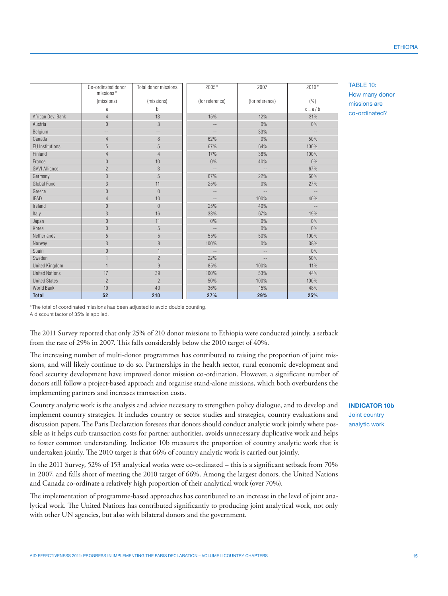|                        | Co-ordinated donor<br>missions* | Total donor missions | 2005*             | 2007              | 2010*         |
|------------------------|---------------------------------|----------------------|-------------------|-------------------|---------------|
|                        | (missions)                      | (missions)           | (for reference)   | (for reference)   | (% )          |
|                        | a                               | b                    |                   |                   | $c = a/b$     |
| African Dev. Bank      | $\overline{4}$                  | 13                   | 15%               | 12%               | 31%           |
| Austria                | $\bf 0$                         | $\mathfrak{Z}$       | $-$               | $0\%$             | $0\%$         |
| Belgium                | $-$                             | $-$                  | $-\,-$            | 33%               | $\sim$ $-$    |
| Canada                 | $\overline{4}$                  | $\boldsymbol{8}$     | 62%               | 0%                | 50%           |
| <b>EU</b> Institutions | 5                               | 5                    | 67%               | 64%               | 100%          |
| Finland                | $\overline{4}$                  | $\overline{4}$       | 17%               | 38%               | 100%          |
| France                 | $\mathbf{0}$                    | 10                   | 0%                | 40%               | $0\%$         |
| <b>GAVI Alliance</b>   | $\overline{2}$                  | 3                    | $\qquad \qquad -$ | $-\,-$            | 67%           |
| Germany                | 3                               | 5                    | 67%               | 22%               | 60%           |
| Global Fund            | 3                               | 11                   | 25%               | 0%                | 27%           |
| Greece                 | $\boldsymbol{0}$                | $\theta$             | $\overline{a}$    | $\overline{a}$    | $\sim$ $\sim$ |
| <b>IFAD</b>            | $\overline{4}$                  | 10                   | $-\,-$            | 100%              | 40%           |
| Ireland                | $\bf 0$                         | $\theta$             | 25%               | 40%               | $-\,-$        |
| Italy                  | 3                               | 16                   | 33%               | 67%               | 19%           |
| Japan                  | $\bf 0$                         | 11                   | 0%                | 0%                | $0\%$         |
| Korea                  | $\overline{0}$                  | 5                    | $\qquad \qquad -$ | $0\%$             | $0\%$         |
| Netherlands            | 5                               | 5                    | 55%               | 50%               | 100%          |
| Norway                 | 3                               | 8                    | 100%              | $0\%$             | 38%           |
| Spain                  | $\boldsymbol{0}$                |                      | $-\,-$            | $\qquad \qquad -$ | $0\%$         |
| Sweden                 |                                 | $\overline{2}$       | 22%               | $-$               | 50%           |
| United Kingdom         |                                 | 9                    | 85%               | 100%              | 11%           |
| <b>United Nations</b>  | 17                              | 39                   | 100%              | 53%               | 44%           |
| <b>United States</b>   | $\overline{2}$                  | $\overline{2}$       | 50%               | 100%              | 100%          |
| World Bank             | 19                              | 40                   | 36%               | 15%               | 48%           |
| <b>Total</b>           | 52                              | 210                  | 27%               | 29%               | 25%           |

TABLE 10: How many donor missions are co-ordinated?

\*The total of coordinated missions has been adjusted to avoid double counting.

A discount factor of 35% is applied.

The 2011 Survey reported that only 25% of 210 donor missions to Ethiopia were conducted jointly, a setback from the rate of 29% in 2007. This falls considerably below the 2010 target of 40%.

The increasing number of multi-donor programmes has contributed to raising the proportion of joint missions, and will likely continue to do so. Partnerships in the health sector, rural economic development and food security development have improved donor mission co-ordination. However, a significant number of donors still follow a project-based approach and organise stand-alone missions, which both overburdens the implementing partners and increases transaction costs.

Country analytic work is the analysis and advice necessary to strengthen policy dialogue, and to develop and implement country strategies. It includes country or sector studies and strategies, country evaluations and discussion papers. The Paris Declaration foresees that donors should conduct analytic work jointly where possible as it helps curb transaction costs for partner authorities, avoids unnecessary duplicative work and helps to foster common understanding. Indicator 10b measures the proportion of country analytic work that is undertaken jointly. The 2010 target is that 66% of country analytic work is carried out jointly.

In the 2011 Survey, 52% of 153 analytical works were co-ordinated – this is a significant setback from 70% in 2007, and falls short of meeting the 2010 target of 66%. Among the largest donors, the United Nations and Canada co-ordinate a relatively high proportion of their analytical work (over 70%).

The implementation of programme-based approaches has contributed to an increase in the level of joint analytical work. The United Nations has contributed significantly to producing joint analytical work, not only with other UN agencies, but also with bilateral donors and the government.

**INDICATOR 10b** Joint country analytic work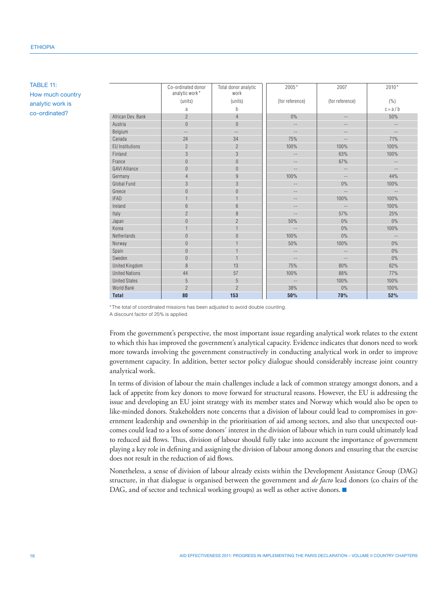TABLE 11: How much country analytic work is co-ordinated?

|                        | Co-ordinated donor<br>analytic work* | Total donor analytic<br>work | 2005*                    | 2007                     | 2010*                    |
|------------------------|--------------------------------------|------------------------------|--------------------------|--------------------------|--------------------------|
|                        | (units)                              | (units)                      | (for reference)          | (for reference)          | ( %)                     |
|                        | a                                    | b                            |                          |                          | $c = a/b$                |
| African Dev. Bank      | $\overline{2}$                       | $\overline{4}$               | $0\%$                    | $- -$                    | 50%                      |
| Austria                | $\theta$                             | $\theta$                     | $\equiv$ $\equiv$        | $\overline{\phantom{m}}$ | $-$                      |
| Belgium                | $\overline{a}$                       | $\overline{a}$               | $-$                      | $-$                      | $-$                      |
| Canada                 | 24                                   | 34                           | 75%                      | $-\,-$                   | 71%                      |
| <b>EU</b> Institutions | $\overline{2}$                       | $\overline{2}$               | 100%                     | 100%                     | 100%                     |
| Finland                | 3                                    | 3                            | $\qquad \qquad -$        | 63%                      | 100%                     |
| France                 | $\overline{0}$                       | $\overline{0}$               | $\qquad \qquad -$        | 67%                      | $\qquad \qquad -$        |
| <b>GAVI Alliance</b>   | $\overline{0}$                       | $\boldsymbol{0}$             | $-$                      | $-\,-$                   | $\cdots$                 |
| Germany                | $\overline{4}$                       | $\overline{9}$               | 100%                     | $-\,-$                   | 44%                      |
| Global Fund            | 3                                    | 3                            | $\qquad \qquad -$        | 0%                       | 100%                     |
| Greece                 | $\theta$                             | $\overline{0}$               | $\qquad \qquad -$        | $-\,-$                   | $-\,-$                   |
| <b>IFAD</b>            |                                      |                              | $\qquad \qquad -$        | 100%                     | 100%                     |
| Ireland                | 6                                    | 6                            | $-$                      | $\qquad \qquad -$        | 100%                     |
| Italy                  | $\overline{c}$                       | 8                            | $-$                      | 57%                      | 25%                      |
| Japan                  | $\overline{0}$                       | $\overline{c}$               | 50%                      | 0%                       | 0%                       |
| Korea                  |                                      |                              | $\qquad \qquad -$        | 0%                       | 100%                     |
| Netherlands            | $\overline{0}$                       | $\overline{0}$               | 100%                     | $0\%$                    | $\overline{\phantom{a}}$ |
| Norway                 | $\theta$                             |                              | 50%                      | 100%                     | 0%                       |
| Spain                  | $\theta$                             |                              | $\overline{\phantom{m}}$ | $-\,-$                   | 0%                       |
| Sweden                 | $\Omega$                             |                              | $\qquad \qquad -$        | $-\,-$                   | 0%                       |
| United Kingdom         | 8                                    | 13                           | 75%                      | 80%                      | 62%                      |
| <b>United Nations</b>  | 44                                   | 57                           | 100%                     | 88%                      | 77%                      |
| <b>United States</b>   | 5                                    | 5                            | $-\,-$                   | 100%                     | 100%                     |
| World Bank             | $\overline{2}$                       | $\overline{2}$               | 38%                      | 0%                       | 100%                     |
| <b>Total</b>           | 80                                   | 153                          | 50%                      | 70%                      | 52%                      |

\*The total of coordinated missions has been adjusted to avoid double counting.

A discount factor of 25% is applied.

From the government's perspective, the most important issue regarding analytical work relates to the extent to which this has improved the government's analytical capacity. Evidence indicates that donors need to work more towards involving the government constructively in conducting analytical work in order to improve government capacity. In addition, better sector policy dialogue should considerably increase joint country analytical work.

In terms of division of labour the main challenges include a lack of common strategy amongst donors, and a lack of appetite from key donors to move forward for structural reasons. However, the EU is addressing the issue and developing an EU joint strategy with its member states and Norway which would also be open to like-minded donors. Stakeholders note concerns that a division of labour could lead to compromises in government leadership and ownership in the prioritisation of aid among sectors, and also that unexpected outcomes could lead to a loss of some donors´ interest in the division of labour which in turn could ultimately lead to reduced aid flows. Thus, division of labour should fully take into account the importance of government playing a key role in defining and assigning the division of labour among donors and ensuring that the exercise does not result in the reduction of aid flows.

Nonetheless, a sense of division of labour already exists within the Development Assistance Group (DAG) structure, in that dialogue is organised between the government and *de facto* lead donors (co chairs of the DAG, and of sector and technical working groups) as well as other active donors.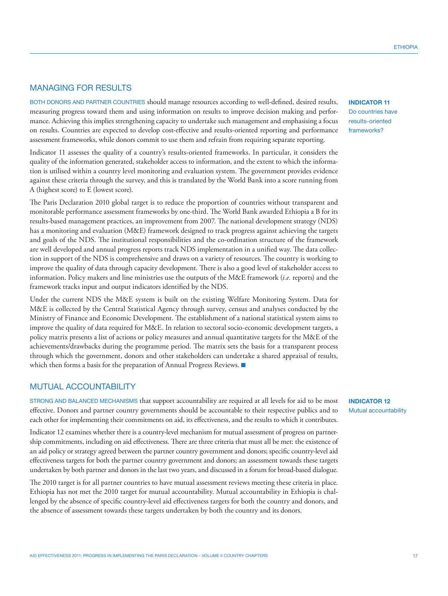**ETHIOPIA** 

# MANAGING FOR RESULTS

Both donors and partner countries should manage resources according to well-defined, desired results, measuring progress toward them and using information on results to improve decision making and performance. Achieving this implies strengthening capacity to undertake such management and emphasising a focus on results. Countries are expected to develop cost-effective and results-oriented reporting and performance assessment frameworks, while donors commit to use them and refrain from requiring separate reporting.

Indicator 11 assesses the quality of a country's results-oriented frameworks. In particular, it considers the quality of the information generated, stakeholder access to information, and the extent to which the information is utilised within a country level monitoring and evaluation system. The government provides evidence against these criteria through the survey, and this is translated by the World Bank into a score running from A (highest score) to E (lowest score).

The Paris Declaration 2010 global target is to reduce the proportion of countries without transparent and monitorable performance assessment frameworks by one-third. The World Bank awarded Ethiopia a B for its results-based management practices, an improvement from 2007. The national development strategy (NDS) has a monitoring and evaluation (M&E) framework designed to track progress against achieving the targets and goals of the NDS. The institutional responsibilities and the co-ordination structure of the framework are well developed and annual progress reports track NDS implementation in a unified way. The data collection in support of the NDS is comprehensive and draws on a variety of resources. The country is working to improve the quality of data through capacity development. There is also a good level of stakeholder access to information. Policy makers and line ministries use the outputs of the M&E framework (*i.e.* reports) and the framework tracks input and output indicators identified by the NDS.

Under the current NDS the M&E system is built on the existing Welfare Monitoring System. Data for M&E is collected by the Central Statistical Agency through survey, census and analyses conducted by the Ministry of Finance and Economic Development. The establishment of a national statistical system aims to improve the quality of data required for M&E. In relation to sectoral socio-economic development targets, a policy matrix presents a list of actions or policy measures and annual quantitative targets for the M&E of the achievements/drawbacks during the programme period. The matrix sets the basis for a transparent process through which the government, donors and other stakeholders can undertake a shared appraisal of results, which then forms a basis for the preparation of Annual Progress Reviews.  $\blacksquare$ 

## MUTUAL ACCOUNTABILITY

STRONG AND BALANCED MECHANISMS that support accountability are required at all levels for aid to be most effective. Donors and partner country governments should be accountable to their respective publics and to each other for implementing their commitments on aid, its effectiveness, and the results to which it contributes.

Indicator 12 examines whether there is a country-level mechanism for mutual assessment of progress on partnership commitments, including on aid effectiveness. There are three criteria that must all be met: the existence of an aid policy or strategy agreed between the partner country government and donors; specific country-level aid effectiveness targets for both the partner country government and donors; an assessment towards these targets undertaken by both partner and donors in the last two years, and discussed in a forum for broad-based dialogue.

The 2010 target is for all partner countries to have mutual assessment reviews meeting these criteria in place. Ethiopia has not met the 2010 target for mutual accountability. Mutual accountability in Ethiopia is challenged by the absence of specific country-level aid effectiveness targets for both the country and donors, and the absence of assessment towards these targets undertaken by both the country and its donors.

**INDICATOR 11** Do countries have results-oriented frameworks?

**INDICATOR 12** Mutual accountability